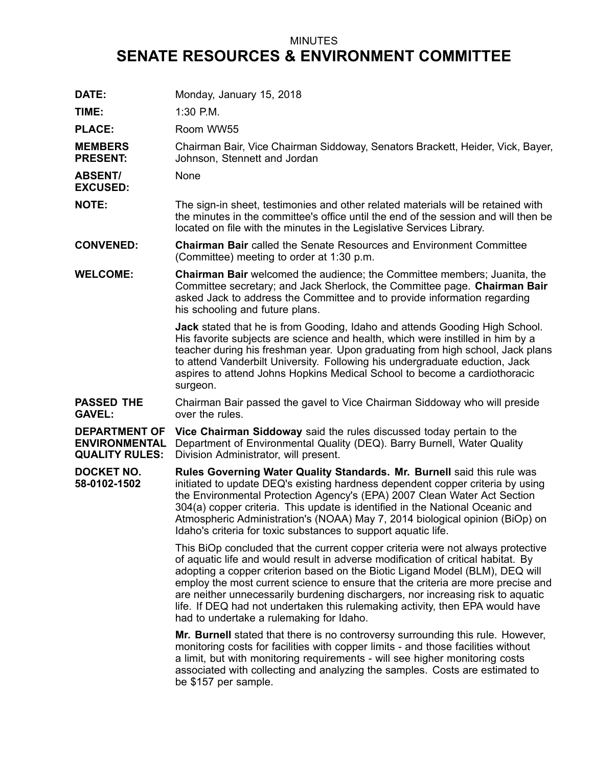## MINUTES **SENATE RESOURCES & ENVIRONMENT COMMITTEE**

| DATE:                                                                 | Monday, January 15, 2018                                                                                                                                                                                                                                                                                                                                                                                                                                                                                                                                |
|-----------------------------------------------------------------------|---------------------------------------------------------------------------------------------------------------------------------------------------------------------------------------------------------------------------------------------------------------------------------------------------------------------------------------------------------------------------------------------------------------------------------------------------------------------------------------------------------------------------------------------------------|
| TIME:                                                                 | 1:30 P.M.                                                                                                                                                                                                                                                                                                                                                                                                                                                                                                                                               |
| <b>PLACE:</b>                                                         | Room WW55                                                                                                                                                                                                                                                                                                                                                                                                                                                                                                                                               |
| <b>MEMBERS</b><br><b>PRESENT:</b>                                     | Chairman Bair, Vice Chairman Siddoway, Senators Brackett, Heider, Vick, Bayer,<br>Johnson, Stennett and Jordan                                                                                                                                                                                                                                                                                                                                                                                                                                          |
| <b>ABSENT/</b><br><b>EXCUSED:</b>                                     | None                                                                                                                                                                                                                                                                                                                                                                                                                                                                                                                                                    |
| <b>NOTE:</b>                                                          | The sign-in sheet, testimonies and other related materials will be retained with<br>the minutes in the committee's office until the end of the session and will then be<br>located on file with the minutes in the Legislative Services Library.                                                                                                                                                                                                                                                                                                        |
| <b>CONVENED:</b>                                                      | <b>Chairman Bair</b> called the Senate Resources and Environment Committee<br>(Committee) meeting to order at 1:30 p.m.                                                                                                                                                                                                                                                                                                                                                                                                                                 |
| <b>WELCOME:</b>                                                       | <b>Chairman Bair</b> welcomed the audience; the Committee members; Juanita, the<br>Committee secretary; and Jack Sherlock, the Committee page. Chairman Bair<br>asked Jack to address the Committee and to provide information regarding<br>his schooling and future plans.                                                                                                                                                                                                                                                                             |
|                                                                       | <b>Jack</b> stated that he is from Gooding, Idaho and attends Gooding High School.<br>His favorite subjects are science and health, which were instilled in him by a<br>teacher during his freshman year. Upon graduating from high school, Jack plans<br>to attend Vanderbilt University. Following his undergraduate eduction, Jack<br>aspires to attend Johns Hopkins Medical School to become a cardiothoracic<br>surgeon.                                                                                                                          |
| <b>PASSED THE</b><br><b>GAVEL:</b>                                    | Chairman Bair passed the gavel to Vice Chairman Siddoway who will preside<br>over the rules.                                                                                                                                                                                                                                                                                                                                                                                                                                                            |
| <b>DEPARTMENT OF</b><br><b>ENVIRONMENTAL</b><br><b>QUALITY RULES:</b> | Vice Chairman Siddoway said the rules discussed today pertain to the<br>Department of Environmental Quality (DEQ). Barry Burnell, Water Quality<br>Division Administrator, will present.                                                                                                                                                                                                                                                                                                                                                                |
| <b>DOCKET NO.</b><br>58-0102-1502                                     | Rules Governing Water Quality Standards. Mr. Burnell said this rule was<br>initiated to update DEQ's existing hardness dependent copper criteria by using<br>the Environmental Protection Agency's (EPA) 2007 Clean Water Act Section<br>304(a) copper criteria. This update is identified in the National Oceanic and<br>Atmospheric Administration's (NOAA) May 7, 2014 biological opinion (BiOp) on<br>Idaho's criteria for toxic substances to support aquatic life.                                                                                |
|                                                                       | This BiOp concluded that the current copper criteria were not always protective<br>of aquatic life and would result in adverse modification of critical habitat. By<br>adopting a copper criterion based on the Biotic Ligand Model (BLM), DEQ will<br>employ the most current science to ensure that the criteria are more precise and<br>are neither unnecessarily burdening dischargers, nor increasing risk to aquatic<br>life. If DEQ had not undertaken this rulemaking activity, then EPA would have<br>had to undertake a rulemaking for Idaho. |
|                                                                       | <b>Mr. Burnell</b> stated that there is no controversy surrounding this rule. However,<br>monitoring costs for facilities with copper limits - and those facilities without<br>a limit, but with monitoring requirements - will see higher monitoring costs<br>associated with collecting and analyzing the samples. Costs are estimated to<br>be \$157 per sample.                                                                                                                                                                                     |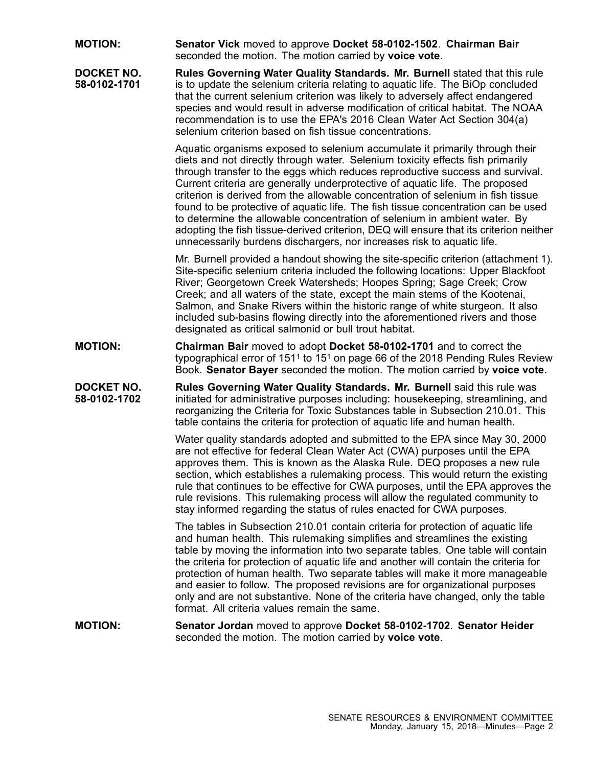**MOTION: Senator Vick** moved to approve **Docket 58-0102-1502**. **Chairman Bair** seconded the motion. The motion carried by **voice vote**.

**DOCKET NO. 58-0102-1701 Rules Governing Water Quality Standards. Mr. Burnell** stated that this rule is to update the selenium criteria relating to aquatic life. The BiOp concluded that the current selenium criterion was likely to adversely affect endangered species and would result in adverse modification of critical habitat. The NOAA recommendation is to use the EPA's 2016 Clean Water Act Section 304(a) selenium criterion based on fish tissue concentrations.

> Aquatic organisms exposed to selenium accumulate it primarily through their diets and not directly through water. Selenium toxicity effects fish primarily through transfer to the eggs which reduces reproductive success and survival. Current criteria are generally underprotective of aquatic life. The proposed criterion is derived from the allowable concentration of selenium in fish tissue found to be protective of aquatic life. The fish tissue concentration can be used to determine the allowable concentration of selenium in ambient water. By adopting the fish tissue-derived criterion, DEQ will ensure that its criterion neither unnecessarily burdens dischargers, nor increases risk to aquatic life.

> Mr. Burnell provided <sup>a</sup> handout showing the site-specific criterion (attachment 1). Site-specific selenium criteria included the following locations: Upper Blackfoot River; Georgetown Creek Watersheds; Hoopes Spring; Sage Creek; Crow Creek; and all waters of the state, except the main stems of the Kootenai, Salmon, and Snake Rivers within the historic range of white sturgeon. It also included sub-basins flowing directly into the aforementioned rivers and those designated as critical salmonid or bull trout habitat.

**MOTION: Chairman Bair** moved to adopt **Docket 58-0102-1701** and to correct the typographical error of 1511 to 151 on page 66 of the 2018 Pending Rules Review Book. **Senator Bayer** seconded the motion. The motion carried by **voice vote**.

**DOCKET NO. 58-0102-1702 Rules Governing Water Quality Standards. Mr. Burnell** said this rule was initiated for administrative purposes including: housekeeping, streamlining, and reorganizing the Criteria for Toxic Substances table in Subsection 210.01. This table contains the criteria for protection of aquatic life and human health.

> Water quality standards adopted and submitted to the EPA since May 30, 2000 are not effective for federal Clean Water Act (CWA) purposes until the EPA approves them. This is known as the Alaska Rule. DEQ proposes <sup>a</sup> new rule section, which establishes <sup>a</sup> rulemaking process. This would return the existing rule that continues to be effective for CWA purposes, until the EPA approves the rule revisions. This rulemaking process will allow the regulated community to stay informed regarding the status of rules enacted for CWA purposes.

> The tables in Subsection 210.01 contain criteria for protection of aquatic life and human health. This rulemaking simplifies and streamlines the existing table by moving the information into two separate tables. One table will contain the criteria for protection of aquatic life and another will contain the criteria for protection of human health. Two separate tables will make it more manageable and easier to follow. The proposed revisions are for organizational purposes only and are not substantive. None of the criteria have changed, only the table format. All criteria values remain the same.

**MOTION: Senator Jordan** moved to approve **Docket 58-0102-1702**. **Senator Heider** seconded the motion. The motion carried by **voice vote**.